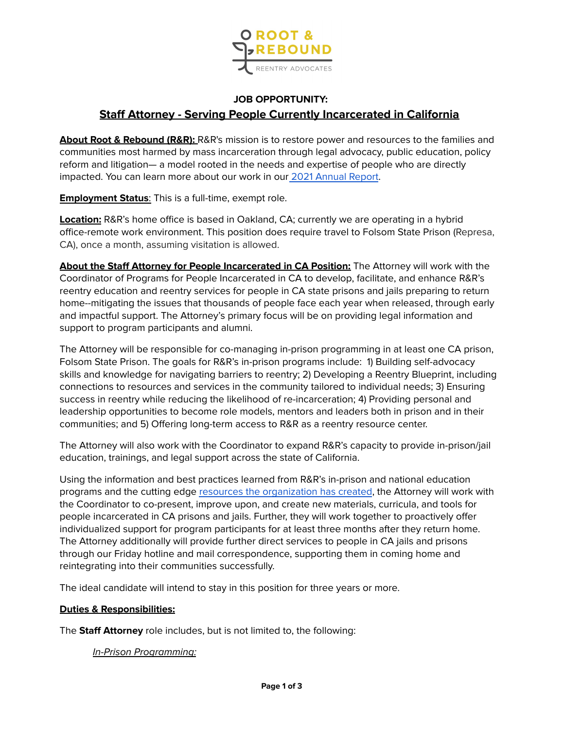

# **JOB OPPORTUNITY: Staff Attorney - Serving People Currently Incarcerated in California**

**About Root & Rebound (R&R):** R&R's mission is to restore power and resources to the families and communities most harmed by mass incarceration through legal advocacy, public education, policy reform and litigation— a model rooted in the needs and expertise of people who are directly impacted. You can learn more about our work in our 2021 [Annual](https://www.rootandrebound.org/annual-report-2021/#lives) Report.

**Employment Status**: This is a full-time, exempt role.

**Location:** R&R's home office is based in Oakland, CA; currently we are operating in a hybrid office-remote work environment. This position does require travel to Folsom State Prison (Represa, CA), once a month, assuming visitation is allowed.

**About the Staff Attorney for People Incarcerated in CA Position:** The Attorney will work with the Coordinator of Programs for People Incarcerated in CA to develop, facilitate, and enhance R&R's reentry education and reentry services for people in CA state prisons and jails preparing to return home--mitigating the issues that thousands of people face each year when released, through early and impactful support. The Attorney's primary focus will be on providing legal information and support to program participants and alumni.

The Attorney will be responsible for co-managing in-prison programming in at least one CA prison, Folsom State Prison. The goals for R&R's in-prison programs include: 1) Building self-advocacy skills and knowledge for navigating barriers to reentry; 2) Developing a Reentry Blueprint, including connections to resources and services in the community tailored to individual needs; 3) Ensuring success in reentry while reducing the likelihood of re-incarceration; 4) Providing personal and leadership opportunities to become role models, mentors and leaders both in prison and in their communities; and 5) Offering long-term access to R&R as a reentry resource center.

The Attorney will also work with the Coordinator to expand R&R's capacity to provide in-prison/jail education, trainings, and legal support across the state of California.

Using the information and best practices learned from R&R's in-prison and national education programs and the cutting edge resources the [organization](http://www.rootandrebound.org/guides-toolkits) has created, the Attorney will work with the Coordinator to co-present, improve upon, and create new materials, curricula, and tools for people incarcerated in CA prisons and jails. Further, they will work together to proactively offer individualized support for program participants for at least three months after they return home. The Attorney additionally will provide further direct services to people in CA jails and prisons through our Friday hotline and mail correspondence, supporting them in coming home and reintegrating into their communities successfully.

The ideal candidate will intend to stay in this position for three years or more.

### **Duties & Responsibilities:**

The **Staff Attorney** role includes, but is not limited to, the following:

In-Prison Programming: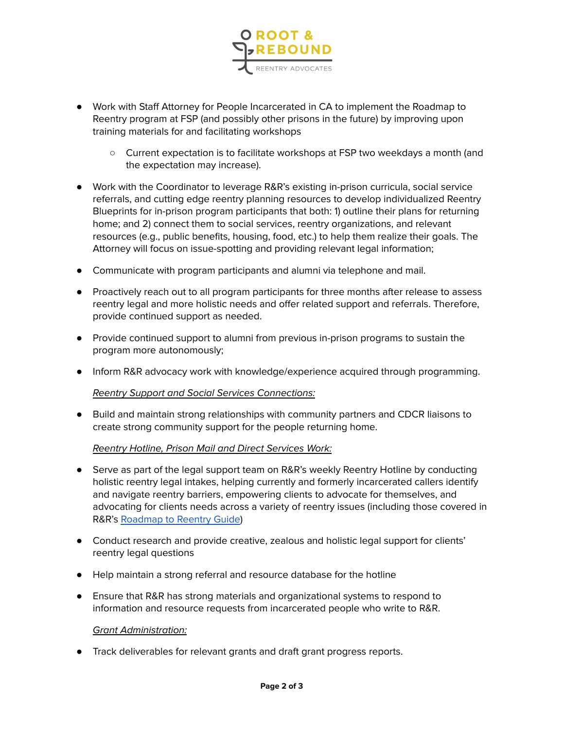

- Work with Staff Attorney for People Incarcerated in CA to implement the Roadmap to Reentry program at FSP (and possibly other prisons in the future) by improving upon training materials for and facilitating workshops
	- Current expectation is to facilitate workshops at FSP two weekdays a month (and the expectation may increase).
- Work with the Coordinator to leverage R&R's existing in-prison curricula, social service referrals, and cutting edge reentry planning resources to develop individualized Reentry Blueprints for in-prison program participants that both: 1) outline their plans for returning home; and 2) connect them to social services, reentry organizations, and relevant resources (e.g., public benefits, housing, food, etc.) to help them realize their goals. The Attorney will focus on issue-spotting and providing relevant legal information;
- Communicate with program participants and alumni via telephone and mail.
- Proactively reach out to all program participants for three months after release to assess reentry legal and more holistic needs and offer related support and referrals. Therefore, provide continued support as needed.
- Provide continued support to alumni from previous in-prison programs to sustain the program more autonomously;
- Inform R&R advocacy work with knowledge/experience acquired through programming.

### Reentry Support and Social Services Connections:

● Build and maintain strong relationships with community partners and CDCR liaisons to create strong community support for the people returning home.

### Reentry Hotline, Prison Mail and Direct Services Work:

- Serve as part of the legal support team on R&R's weekly Reentry Hotline by conducting holistic reentry legal intakes, helping currently and formerly incarcerated callers identify and navigate reentry barriers, empowering clients to advocate for themselves, and advocating for clients needs across a variety of reentry issues (including those covered in R&R's [Roadmap](http://www.rootandrebound.org/roadmap-to-reentry-guide) to Reentry Guide)
- Conduct research and provide creative, zealous and holistic legal support for clients' reentry legal questions
- Help maintain a strong referral and resource database for the hotline
- Ensure that R&R has strong materials and organizational systems to respond to information and resource requests from incarcerated people who write to R&R.

### Grant Administration:

● Track deliverables for relevant grants and draft grant progress reports.